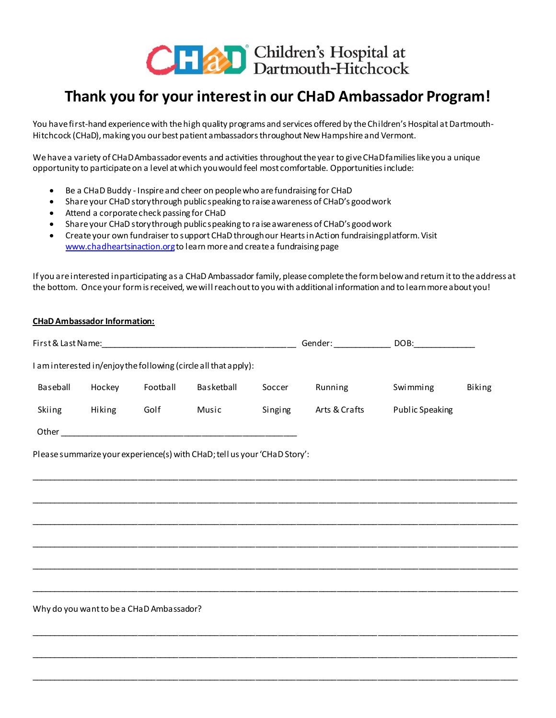

## **Thank you for your interest in our CHaD Ambassador Program!**

You have first-hand experience with the high quality programs and services offered by the Children's Hospital at Dartmouth-Hitchcock (CHaD), making you our best patient ambassadors throughout New Hampshire and Vermont.

We have a variety of CHaD Ambassador events and activities throughout the year to give CHaD families like you a unique opportunity to participate on a level at which you would feel most comfortable. Opportunities include:

- Be a CHaD Buddy Inspire and cheer on people who are fundraising for CHaD
- Share your CHaD story through public speaking to raise awareness of CHaD's good work
- Attend a corporate check passing for CHaD
- Share your CHaD story through public speaking to raise awareness of CHaD's good work
- Create your own fundraiser to support CHaD through our Hearts in Action fundraising platform. Visit [www.chadheartsinaction.org](http://www.chadheartsinaction.org/)to learn more and create a fundraising page

If you are interested in participating as a CHaD Ambassador family, please complete the form below and return it to the address at the bottom. Once your form is received, we will reach out to you with additional information and to learn more about you!

| <b>CHaD Ambassador Information:</b> |          |            |         |                                                                 |                                                                           |                                                                                                                                           |
|-------------------------------------|----------|------------|---------|-----------------------------------------------------------------|---------------------------------------------------------------------------|-------------------------------------------------------------------------------------------------------------------------------------------|
|                                     |          |            |         |                                                                 |                                                                           |                                                                                                                                           |
|                                     |          |            |         |                                                                 |                                                                           |                                                                                                                                           |
| Hockey                              | Football | Basketball | Soccer  | Running                                                         | Swimming                                                                  | Biking                                                                                                                                    |
| Hiking                              | Golf     | Music      | Singing | Arts & Crafts                                                   | <b>Public Speaking</b>                                                    |                                                                                                                                           |
|                                     |          |            |         |                                                                 |                                                                           |                                                                                                                                           |
|                                     |          |            |         |                                                                 |                                                                           |                                                                                                                                           |
|                                     |          |            |         |                                                                 |                                                                           |                                                                                                                                           |
|                                     |          |            |         |                                                                 |                                                                           |                                                                                                                                           |
|                                     |          |            |         |                                                                 |                                                                           |                                                                                                                                           |
|                                     |          |            |         |                                                                 |                                                                           |                                                                                                                                           |
|                                     |          |            |         | I am interested in/enjoy the following (circle all that apply): | Please summarize your experience(s) with CHaD; tell us your 'CHaD Story': | Gender: DOB: DOB:<br><u> 1980 - Jan James James, martin amerikan basar dan berasal dalam berasal dalam berasal dalam berasal dalam be</u> |

\_\_\_\_\_\_\_\_\_\_\_\_\_\_\_\_\_\_\_\_\_\_\_\_\_\_\_\_\_\_\_\_\_\_\_\_\_\_\_\_\_\_\_\_\_\_\_\_\_\_\_\_\_\_\_\_\_\_\_\_\_\_\_\_\_\_\_\_\_\_\_\_\_\_\_\_\_\_\_\_\_\_\_\_\_\_\_\_\_\_\_\_\_\_\_\_\_\_\_\_\_\_\_\_\_\_\_\_

\_\_\_\_\_\_\_\_\_\_\_\_\_\_\_\_\_\_\_\_\_\_\_\_\_\_\_\_\_\_\_\_\_\_\_\_\_\_\_\_\_\_\_\_\_\_\_\_\_\_\_\_\_\_\_\_\_\_\_\_\_\_\_\_\_\_\_\_\_\_\_\_\_\_\_\_\_\_\_\_\_\_\_\_\_\_\_\_\_\_\_\_\_\_\_\_\_\_\_\_\_\_\_\_\_\_\_\_